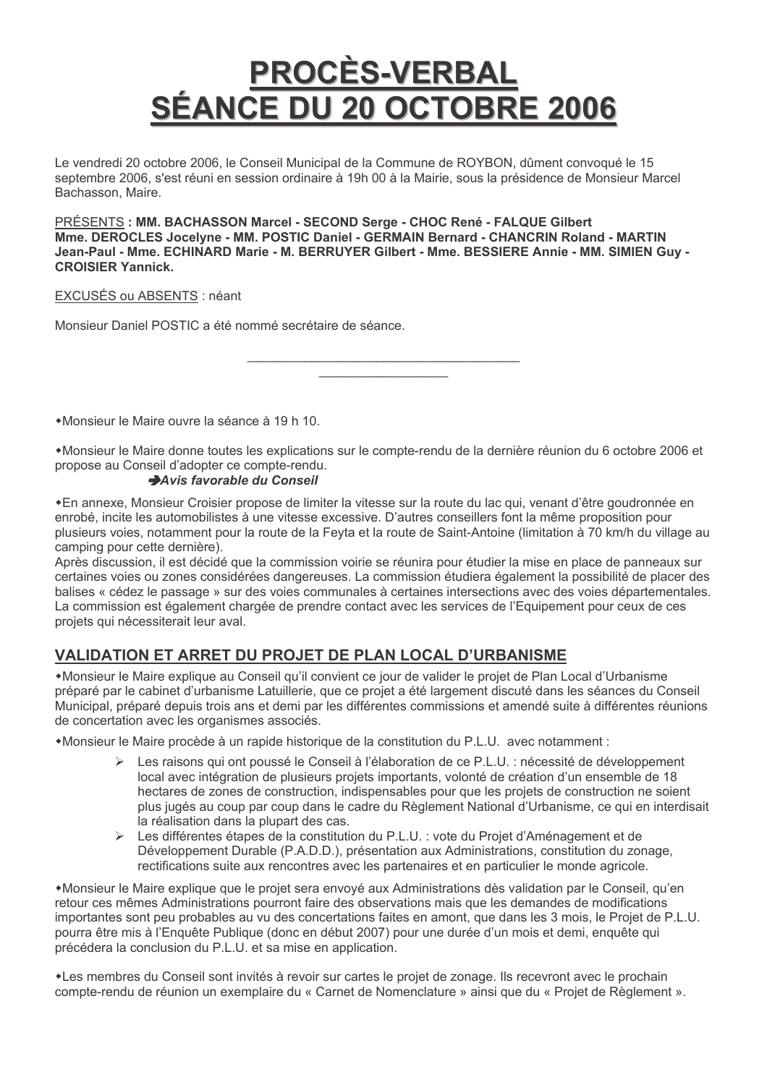# <u>PROCÈS-VERBAL</u> SÉANCE DU 20 OCTOBRE 2006

Le vendredi 20 octobre 2006, le Conseil Municipal de la Commune de ROYBON, dûment convoqué le 15 septembre 2006, s'est réuni en session ordinaire à 19h 00 à la Mairie, sous la présidence de Monsieur Marcel Bachasson, Maire.

PRÉSENTS : MM. BACHASSON Marcel - SECOND Serge - CHOC René - FALQUE Gilbert Mme. DEROCLES Jocelyne - MM. POSTIC Daniel - GERMAIN Bernard - CHANCRIN Roland - MARTIN Jean-Paul - Mme. ECHINARD Marie - M. BERRUYER Gilbert - Mme. BESSIERE Annie - MM. SIMIEN Guy -**CROISIER Yannick.** 

## EXCUSÉS ou ABSENTS : néant

Monsieur Daniel POSTIC a été nommé secrétaire de séance.

•Monsieur le Maire ouvre la séance à 19 h 10.

•Monsieur le Maire donne toutes les explications sur le compte-rendu de la dernière réunion du 6 octobre 2006 et propose au Conseil d'adopter ce compte-rendu.

#### Avis favorable du Conseil

∗En annexe. Monsieur Croisier propose de limiter la vitesse sur la route du lac qui, venant d'être goudronnée en enrobé, incite les automobilistes à une vitesse excessive. D'autres conseillers font la même proposition pour plusieurs voies, notamment pour la route de la Feyta et la route de Saint-Antoine (limitation à 70 km/h du village au camping pour cette dernière).

Après discussion, il est décidé que la commission voirie se réunira pour étudier la mise en place de panneaux sur certaines voies ou zones considérées dangereuses. La commission étudiera également la possibilité de placer des balises « cédez le passage » sur des voies communales à certaines intersections avec des voies départementales. La commission est également chargée de prendre contact avec les services de l'Equipement pour ceux de ces projets qui nécessiterait leur aval.

# VALIDATION ET ARRET DU PROJET DE PLAN LOCAL D'URBANISME

•Monsieur le Maire explique au Conseil qu'il convient ce jour de valider le projet de Plan Local d'Urbanisme préparé par le cabinet d'urbanisme Latuillerie, que ce projet a été largement discuté dans les séances du Conseil Municipal, préparé depuis trois ans et demi par les différentes commissions et amendé suite à différentes réunions de concertation avec les organismes associés.

\*Monsieur le Maire procède à un rapide historique de la constitution du P.L.U. avec notamment :

- Eles raisons qui ont poussé le Conseil à l'élaboration de ce P.L.U. : nécessité de développement local avec intégration de plusieurs projets importants, volonté de création d'un ensemble de 18 hectares de zones de construction, indispensables pour que les projets de construction ne soient plus jugés au coup par coup dans le cadre du Règlement National d'Urbanisme, ce qui en interdisait la réalisation dans la plupart des cas.
- > Les différentes étapes de la constitution du P.L.U. : vote du Projet d'Aménagement et de Développement Durable (P.A.D.D.), présentation aux Administrations, constitution du zonage, rectifications suite aux rencontres avec les partenaires et en particulier le monde agricole.

\*Monsieur le Maire explique que le projet sera envoyé aux Administrations dès validation par le Conseil, qu'en retour ces mêmes Administrations pourront faire des observations mais que les demandes de modifications importantes sont peu probables au vu des concertations faites en amont, que dans les 3 mois, le Projet de P.L.U. pourra être mis à l'Enquête Publique (donc en début 2007) pour une durée d'un mois et demi, enquête qui précédera la conclusion du P.L.U. et sa mise en application.

\*Les membres du Conseil sont invités à revoir sur cartes le projet de zonage. Ils recevront avec le prochain compte-rendu de réunion un exemplaire du « Carnet de Nomenclature » ainsi que du « Projet de Règlement ».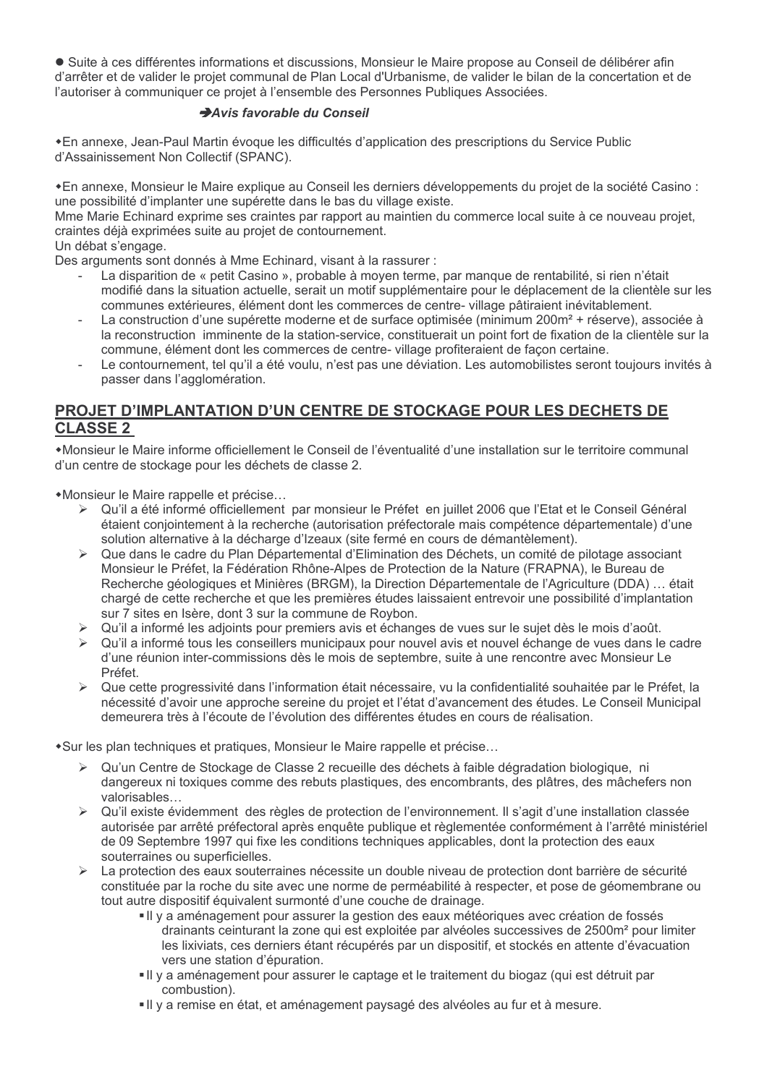• Suite à ces différentes informations et discussions, Monsieur le Maire propose au Conseil de délibérer afin d'arrêter et de valider le projet communal de Plan Local d'Urbanisme, de valider le bilan de la concertation et de l'autoriser à communiquer ce projet à l'ensemble des Personnes Publiques Associées.

## Avis favorable du Conseil

\*En annexe, Jean-Paul Martin évoque les difficultés d'application des prescriptions du Service Public d'Assainissement Non Collectif (SPANC).

\*En annexe, Monsieur le Maire explique au Conseil les derniers développements du projet de la société Casino : une possibilité d'implanter une supérette dans le bas du village existe.

Mme Marie Echinard exprime ses craintes par rapport au maintien du commerce local suite à ce nouveau projet, craintes déjà exprimées suite au projet de contournement.

#### Un débat s'engage.

Des arguments sont donnés à Mme Echinard, visant à la rassurer :

- La disparition de « petit Casino », probable à moyen terme, par manque de rentabilité, si rien n'était modifié dans la situation actuelle, serait un motif supplémentaire pour le déplacement de la clientèle sur les communes extérieures, élément dont les commerces de centre-village pâtiraient inévitablement.
- La construction d'une supérette moderne et de surface optimisée (minimum 200m<sup>2</sup> + réserve), associée à la reconstruction imminente de la station-service, constituerait un point fort de fixation de la clientèle sur la commune, élément dont les commerces de centre-village profiteraient de façon certaine.
- Le contournement, tel qu'il a été voulu, n'est pas une déviation. Les automobilistes seront toujours invités à passer dans l'agglomération.

# PROJET D'IMPLANTATION D'UN CENTRE DE STOCKAGE POUR LES DECHETS DE **CLASSE 2**

\*Monsieur le Maire informe officiellement le Conseil de l'éventualité d'une installation sur le territoire communal d'un centre de stockage pour les déchets de classe 2.

\*Monsieur le Maire rappelle et précise...

- ► Qu'il a été informé officiellement par monsieur le Préfet en juillet 2006 que l'Etat et le Conseil Général étaient conjointement à la recherche (autorisation préfectorale mais compétence départementale) d'une solution alternative à la décharge d'Izeaux (site fermé en cours de démantèlement).
- > Que dans le cadre du Plan Départemental d'Elimination des Déchets, un comité de pilotage associant Monsieur le Préfet, la Fédération Rhône-Alpes de Protection de la Nature (FRAPNA), le Bureau de Recherche géologiques et Minières (BRGM), la Direction Départementale de l'Agriculture (DDA) ... était chargé de cette recherche et que les premières études laissaient entrevoir une possibilité d'implantation sur 7 sites en Isère, dont 3 sur la commune de Roybon.
- Qu'il a informé les adjoints pour premiers avis et échanges de vues sur le sujet dès le mois d'août.
- ► Qu'il a informé tous les conseillers municipaux pour nouvel avis et nouvel échange de vues dans le cadre d'une réunion inter-commissions dès le mois de septembre, suite à une rencontre avec Monsieur Le Préfet
- ► Que cette progressivité dans l'information était nécessaire, vu la confidentialité souhaitée par le Préfet, la nécessité d'avoir une approche sereine du proiet et l'état d'avancement des études. Le Conseil Municipal demeurera très à l'écoute de l'évolution des différentes études en cours de réalisation.

\*Sur les plan techniques et pratiques, Monsieur le Maire rappelle et précise...

- > Qu'un Centre de Stockage de Classe 2 recueille des déchets à faible dégradation biologique, ni dangereux ni toxiques comme des rebuts plastiques, des encombrants, des plâtres, des mâchefers non valorisables...
- > Qu'il existe évidemment des règles de protection de l'environnement. Il s'agit d'une installation classée autorisée par arrêté préfectoral après enquête publique et règlementée conformément à l'arrêté ministériel de 09 Septembre 1997 qui fixe les conditions techniques applicables, dont la protection des eaux souterraines ou superficielles.
- > La protection des eaux souterraines nécessite un double niveau de protection dont barrière de sécurité constituée par la roche du site avec une norme de perméabilité à respecter, et pose de géomembrane ou tout autre dispositif équivalent surmonté d'une couche de drainage.
	- Il y a aménagement pour assurer la gestion des eaux météoriques avec création de fossés drainants ceinturant la zone qui est exploitée par alvéoles successives de 2500m<sup>2</sup> pour limiter les lixiviats, ces derniers étant récupérés par un dispositif, et stockés en attente d'évacuation vers une station d'épuration.
	- Il y a aménagement pour assurer le captage et le traitement du biogaz (qui est détruit par combustion).
	- Il y a remise en état, et aménagement paysagé des alvéoles au fur et à mesure.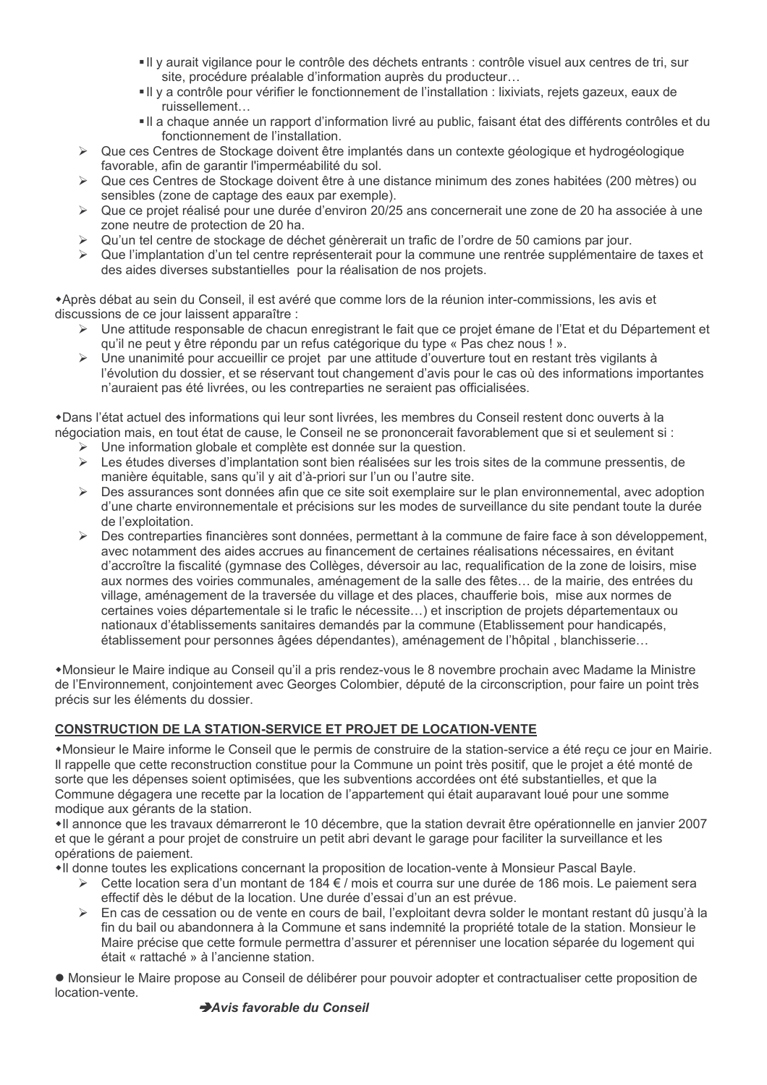- Il y aurait vigilance pour le contrôle des déchets entrants : contrôle visuel aux centres de tri, sur site, procédure préalable d'information auprès du producteur...
- Il v a contrôle pour vérifier le fonctionnement de l'installation : lixiviats, rejets gazeux, eaux de ruissellement...
- Il a chaque année un rapport d'information livré au public, faisant état des différents contrôles et du fonctionnement de l'installation.
- ► Que ces Centres de Stockage doivent être implantés dans un contexte géologique et hydrogéologique favorable, afin de garantir l'imperméabilité du sol.
- ► Que ces Centres de Stockage doivent être à une distance minimum des zones habitées (200 mètres) ou sensibles (zone de captage des eaux par exemple).
- > Que ce projet réalisé pour une durée d'environ 20/25 ans concernerait une zone de 20 ha associée à une zone neutre de protection de 20 ha.
- Qu'un tel centre de stockage de déchet génèrerait un trafic de l'ordre de 50 camions par jour.
- $\blacktriangleright$ Que l'implantation d'un tel centre représenterait pour la commune une rentrée supplémentaire de taxes et des aides diverses substantielles pour la réalisation de nos projets.

\*Après débat au sein du Conseil, il est avéré que comme lors de la réunion inter-commissions, les avis et discussions de ce jour laissent apparaître :

- ► Une attitude responsable de chacun enregistrant le fait que ce projet émane de l'Etat et du Département et qu'il ne peut y être répondu par un refus catégorique du type « Pas chez nous ! ».
- ▶ Une unanimité pour accueillir ce projet par une attitude d'ouverture tout en restant très vigilants à l'évolution du dossier, et se réservant tout changement d'avis pour le cas où des informations importantes n'auraient pas été livrées, ou les contreparties ne seraient pas officialisées.

\*Dans l'état actuel des informations qui leur sont livrées, les membres du Conseil restent donc ouverts à la négociation mais, en tout état de cause, le Conseil ne se prononcerait favorablement que si et seulement si :

- Une information globale et complète est donnée sur la question.
- Les études diverses d'implantation sont bien réalisées sur les trois sites de la commune pressentis, de  $\blacktriangleright$ manière équitable, sans qu'il y ait d'à-priori sur l'un ou l'autre site.
- $\rightarrow$ Des assurances sont données afin que ce site soit exemplaire sur le plan environnemental, avec adoption d'une charte environnementale et précisions sur les modes de surveillance du site pendant toute la durée de l'exploitation.
- Des contreparties financières sont données, permettant à la commune de faire face à son développement,  $\triangleright$ avec notamment des aides accrues au financement de certaines réalisations nécessaires, en évitant d'accroître la fiscalité (gymnase des Collèges, déversoir au lac, requalification de la zone de loisirs, mise aux normes des voiries communales, aménagement de la salle des fêtes... de la mairie, des entrées du village, aménagement de la traversée du village et des places, chaufferie bois, mise aux normes de certaines voies départementale si le trafic le nécessite...) et inscription de projets départementaux ou nationaux d'établissements sanitaires demandés par la commune (Etablissement pour handicapés, établissement pour personnes âgées dépendantes), aménagement de l'hôpital, blanchisserie...

•Monsieur le Maire indique au Conseil qu'il a pris rendez-vous le 8 novembre prochain avec Madame la Ministre de l'Environnement, conjointement avec Georges Colombier, député de la circonscription, pour faire un point très précis sur les éléments du dossier.

## **CONSTRUCTION DE LA STATION-SERVICE ET PROJET DE LOCATION-VENTE**

\*Monsieur le Maire informe le Conseil que le permis de construire de la station-service a été reçu ce jour en Mairie. Il rappelle que cette reconstruction constitue pour la Commune un point très positif, que le projet a été monté de sorte que les dépenses soient optimisées, que les subventions accordées ont été substantielles, et que la Commune dégagera une recette par la location de l'appartement qui était auparavant loué pour une somme modique aux gérants de la station.

•Il annonce que les travaux démarreront le 10 décembre, que la station devrait être opérationnelle en janvier 2007 et que le gérant a pour projet de construire un petit abri devant le garage pour faciliter la surveillance et les opérations de paiement.

•Il donne toutes les explications concernant la proposition de location-vente à Monsieur Pascal Bayle.

- ≻ Cette location sera d'un montant de 184 € / mois et courra sur une durée de 186 mois. Le paiement sera effectif dès le début de la location. Une durée d'essai d'un an est prévue.
- $\blacktriangleleft$ En cas de cessation ou de vente en cours de bail. l'exploitant devra solder le montant restant dû jusqu'à la fin du bail ou abandonnera à la Commune et sans indemnité la propriété totale de la station. Monsieur le Maire précise que cette formule permettra d'assurer et pérenniser une location séparée du logement qui était « rattaché » à l'ancienne station.

• Monsieur le Maire propose au Conseil de délibérer pour pouvoir adopter et contractualiser cette proposition de location-vente.

## Avis favorable du Conseil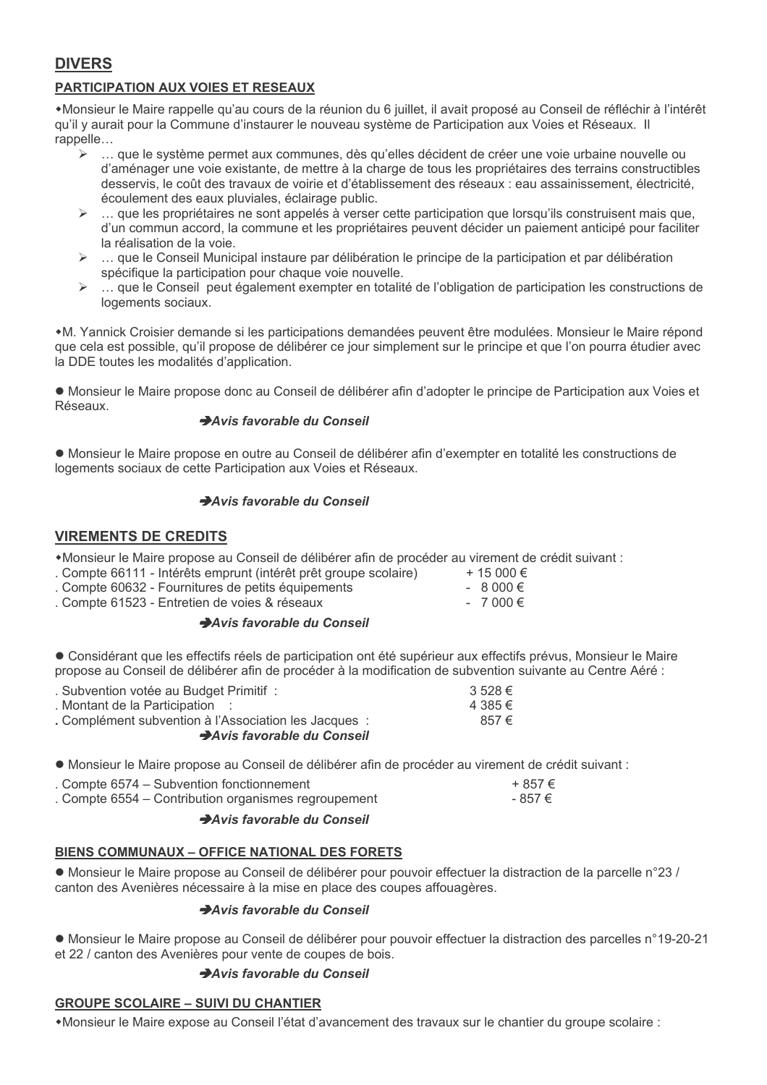# **DIVERS**

# **PARTICIPATION AUX VOIES ET RESEAUX**

\*Monsieur le Maire rappelle qu'au cours de la réunion du 6 juillet, il avait proposé au Conseil de réfléchir à l'intérêt qu'il y aurait pour la Commune d'instaurer le nouveau système de Participation aux Voies et Réseaux. Il rappelle...

- $\triangleright$ ... que le système permet aux communes, dès qu'elles décident de créer une voie urbaine nouvelle ou d'aménager une voie existante, de mettre à la charge de tous les propriétaires des terrains constructibles desservis, le coût des travaux de voirie et d'établissement des réseaux : eau assainissement. électricité. écoulement des eaux pluviales, éclairage public.
- $\triangleright$  ... que les propriétaires ne sont appelés à verser cette participation que lorsqu'ils construisent mais que, d'un commun accord, la commune et les propriétaires peuvent décider un paiement anticipé pour faciliter la réalisation de la voie.
- ... que le Conseil Municipal instaure par délibération le principe de la participation et par délibération  $\blacktriangleright$ spécifique la participation pour chaque voie nouvelle.
- $\blacktriangleright$ ... que le Conseil peut également exempter en totalité de l'obligation de participation les constructions de logements sociaux.

\*M. Yannick Croisier demande si les participations demandées peuvent être modulées. Monsieur le Maire répond que cela est possible, qu'il propose de délibérer ce jour simplement sur le principe et que l'on pourra étudier avec la DDE toutes les modalités d'application.

• Monsieur le Maire propose donc au Conseil de délibérer afin d'adopter le principe de Participation aux Voies et Réseaux

## Avis favorable du Conseil

• Monsieur le Maire propose en outre au Conseil de délibérer afin d'exempter en totalité les constructions de logements sociaux de cette Participation aux Voies et Réseaux.

## Avis favorable du Conseil

## **VIREMENTS DE CREDITS**

\*Monsieur le Maire propose au Conseil de délibérer afin de procéder au virement de crédit suivant :

- . Compte 66111 Intérêts emprunt (intérêt prêt groupe scolaire) + 15 000 €
- Compte 60632 Fournitures de petits équipements
- . Compte 61523 Entretien de voies & réseaux

## Avis favorable du Conseil

• Considérant que les effectifs réels de participation ont été supérieur aux effectifs prévus, Monsieur le Maire propose au Conseil de délibérer afin de procéder à la modification de subvention suivante au Centre Aéré :

 $-8000 \in$ 

 $-7000$  €

| . Subvention votée au Budget Primitif:                | $3\,528 \in$ |
|-------------------------------------------------------|--------------|
| : Montant de la Participation :                       | 4 385 €      |
| . Complément subvention à l'Association les Jacques : | 857€         |
| Avis favorable du Conseil                             |              |
|                                                       |              |

. Monsieur le Maire propose au Conseil de délibérer afin de procéder au virement de crédit suivant :

| . Compte 6574 – Subvention fonctionnement            | $+857 \in$ |
|------------------------------------------------------|------------|
| . Compte 6554 – Contribution organismes regroupement | - 857 €    |
|                                                      |            |

## Avis favorable du Conseil

## **BIENS COMMUNAUX - OFFICE NATIONAL DES FORETS**

• Monsieur le Maire propose au Conseil de délibérer pour pouvoir effectuer la distraction de la parcelle n°23/ canton des Avenières nécessaire à la mise en place des coupes affouagères.

## Avis favorable du Conseil

• Monsieur le Maire propose au Conseil de délibérer pour pouvoir effectuer la distraction des parcelles n°19-20-21 et 22 / canton des Avenières pour vente de coupes de bois.

## Avis favorable du Conseil

## **GROUPE SCOLAIRE - SUIVI DU CHANTIER**

\*Monsieur le Maire expose au Conseil l'état d'avancement des travaux sur le chantier du groupe scolaire :